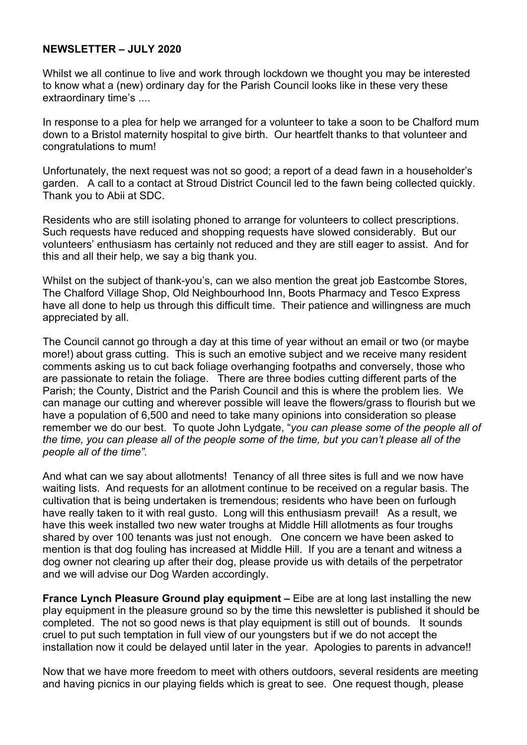## **NEWSLETTER – JULY 2020**

Whilst we all continue to live and work through lockdown we thought you may be interested to know what a (new) ordinary day for the Parish Council looks like in these very these extraordinary time's ....

In response to a plea for help we arranged for a volunteer to take a soon to be Chalford mum down to a Bristol maternity hospital to give birth. Our heartfelt thanks to that volunteer and congratulations to mum!

Unfortunately, the next request was not so good; a report of a dead fawn in a householder's garden. A call to a contact at Stroud District Council led to the fawn being collected quickly. Thank you to Abii at SDC.

Residents who are still isolating phoned to arrange for volunteers to collect prescriptions. Such requests have reduced and shopping requests have slowed considerably. But our volunteers' enthusiasm has certainly not reduced and they are still eager to assist. And for this and all their help, we say a big thank you.

Whilst on the subject of thank-you's, can we also mention the great job Eastcombe Stores, The Chalford Village Shop, Old Neighbourhood Inn, Boots Pharmacy and Tesco Express have all done to help us through this difficult time. Their patience and willingness are much appreciated by all.

The Council cannot go through a day at this time of year without an email or two (or maybe more!) about grass cutting. This is such an emotive subject and we receive many resident comments asking us to cut back foliage overhanging footpaths and conversely, those who are passionate to retain the foliage. There are three bodies cutting different parts of the Parish; the County, District and the Parish Council and this is where the problem lies. We can manage our cutting and wherever possible will leave the flowers/grass to flourish but we have a population of 6,500 and need to take many opinions into consideration so please remember we do our best. To quote John Lydgate, "*you can please some of the people all of the time, you can please all of the people some of the time, but you can't please all of the people all of the time".*

And what can we say about allotments! Tenancy of all three sites is full and we now have waiting lists. And requests for an allotment continue to be received on a regular basis. The cultivation that is being undertaken is tremendous; residents who have been on furlough have really taken to it with real gusto. Long will this enthusiasm prevail! As a result, we have this week installed two new water troughs at Middle Hill allotments as four troughs shared by over 100 tenants was just not enough. One concern we have been asked to mention is that dog fouling has increased at Middle Hill. If you are a tenant and witness a dog owner not clearing up after their dog, please provide us with details of the perpetrator and we will advise our Dog Warden accordingly.

**France Lynch Pleasure Ground play equipment –** Eibe are at long last installing the new play equipment in the pleasure ground so by the time this newsletter is published it should be completed. The not so good news is that play equipment is still out of bounds. It sounds cruel to put such temptation in full view of our youngsters but if we do not accept the installation now it could be delayed until later in the year. Apologies to parents in advance!!

Now that we have more freedom to meet with others outdoors, several residents are meeting and having picnics in our playing fields which is great to see. One request though, please